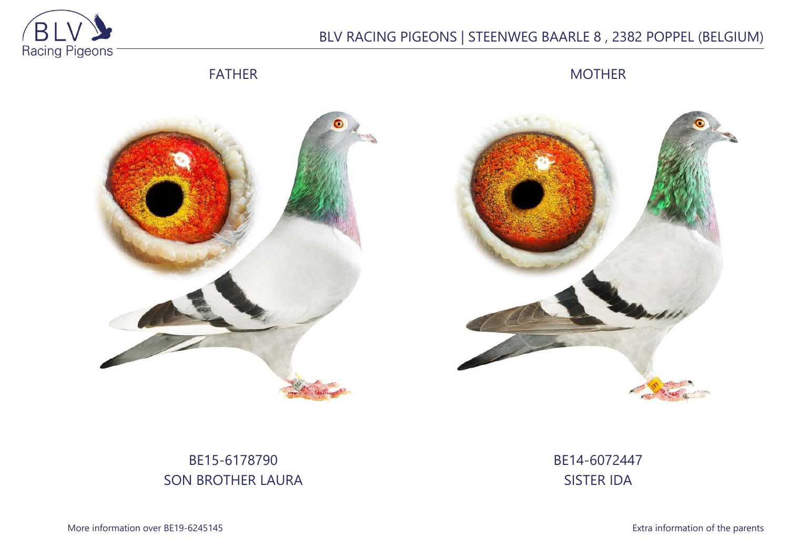

## BLV RACING PIGEONS | STEENWEG BAARLE 8 , 2382 POPPEL (BELGIUM)

FATHER

MOTHER





# BE15-6178790 SON BROTHER LAURA

BE14-6072447 SISTER IDA

More information over BE19-6245145 **Extra information of the parents**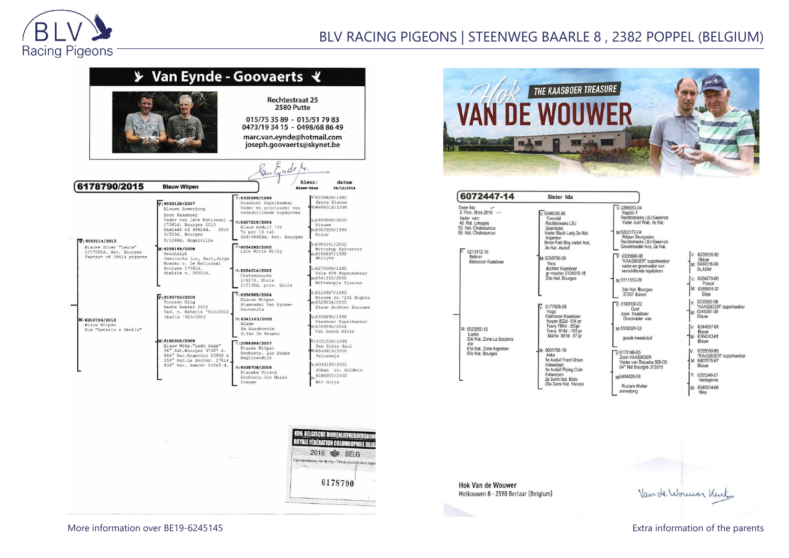

### BLV RACING PIGEONS | STEENWEG BAARLE 8 , 2382 POPPEL (BELGIUM)







| 6072447-14                                                                                                                                                                  | Sister Ida                                                                                                                                                                                                                                                                                    |                                                                                                                                                                                                                                                                                                                                         |
|-----------------------------------------------------------------------------------------------------------------------------------------------------------------------------|-----------------------------------------------------------------------------------------------------------------------------------------------------------------------------------------------------------------------------------------------------------------------------------------------|-----------------------------------------------------------------------------------------------------------------------------------------------------------------------------------------------------------------------------------------------------------------------------------------------------------------------------------------|
| ister Ida<br>Prov. Blois 2018 -<br>ader van:<br>8. Nat. Limoges<br>2. Nat. Chateauroux<br>3. Nat. Chateauroux<br>$\overline{7:}$ 6213112-10<br>Nelson<br>kleinzoon Kaasboer | $V.6346026-06$<br>Favoriet<br>Rechtstreeks LBJ<br>Geerinckx<br>Vader Black Lady.2e Nat.<br>Argenton<br>Broer Fast Boy, vader Ace,<br>2e Nat. Asduif<br>M: 6358796-09<br>Vera<br>dochter Kaashoer<br>gr moeder 2104519-18<br>2de Nat. Bourges                                                  | $V: 2298053 - 04$<br>Rapido 1<br><b>Rechtstreeks LBJ Geerinck</b><br>Vader Just Wait, 1e Nat.<br>M-6202172-04<br>Witpen Bourgeske<br><b>Rechtstreeks LBJ Geerinck</b><br>Grootmoeder Acy, 2e Nat.<br>$V: 6335690-98$<br>"KAASBOER" superkweke<br>vader en grootvader van<br>verschillende topduiven<br>M-6111553-09<br>3de Nat. Bourges |
| M: 6023250-12<br>Lopke<br>33e Nat. Zone La Souterra<br>ine<br>61e Nat. Zone Argenton<br>97e Nat. Bourges                                                                    | $\nabla 6177605-08$<br>Hugo<br>Kleinzoon Kaasboer<br>Noyon 802d -154 pr<br>Toury 786d - 250pr<br>Toury 614d - 169 pr<br>Marne 591d - 97 pr<br>M: 6031765-10<br>Aske<br>1e Asduif Fond Union<br>Antwerpen<br>1e Asduif Flying Club<br>Antwerpen<br>2e Semi Nat. Blois<br>29e Semi Nat. Vierzon | 37357 duiven<br>$V: 6183100-02$<br>Gust<br>zoon Kaasboer<br>Grootvader van<br>M:6108024-03<br>goede kweekduif<br>$\nabla 6176146-05$<br>Zoon KAASBOER<br>Vader van Blauwke 508-09:<br>64° Nat Bourges 37357d<br>M6404429-06<br><b>Roziers Walter</b>                                                                                    |

| ĵ |                                                             |
|---|-------------------------------------------------------------|
|   |                                                             |
| ŗ | 6235626-92<br>Blauw<br>6404318-96<br><b>BLAUW</b>           |
|   | $-6224270 - 08$<br>Pascal<br>6385691-07<br>Elsje            |
|   | 6335690-98<br>"KAASBOER" superkweker<br>6345097-00<br>Blauw |
|   | 6344997-01<br>Blauw<br>6364383-01<br>Blauw                  |
|   | 6335690-98<br>"KAASBOER" superkweker<br>6407575-97<br>Blauw |
|   | 6225246-01<br>Intelegente                                   |
|   | 6246934-04<br>Nike                                          |

zomerjong

**Hok Van de Wouwer** Melkouwen 8 - 2590 Berlaar (Belgium)

Van de Wormer Kint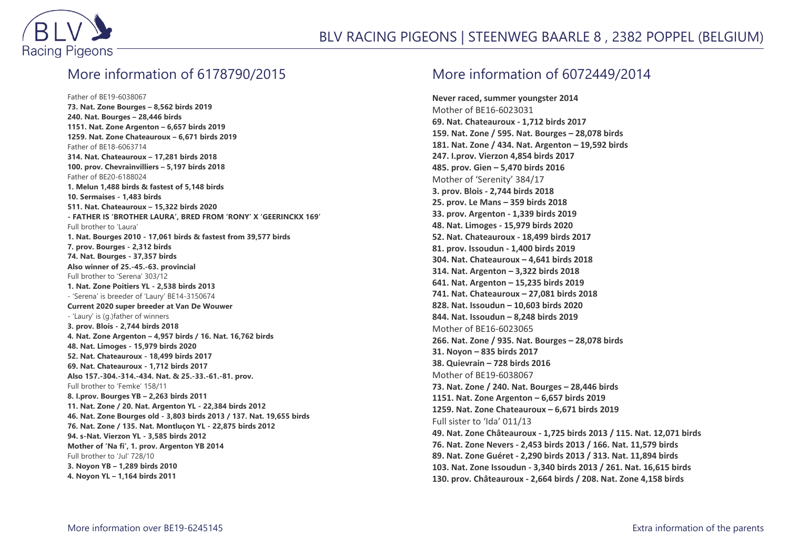

### More information of 6178790/2015

Father of BE19-6038067 **73. Nat. Zone Bourges – 8,562 birds 2019 240. Nat. Bourges – 28,446 birds 1151. Nat. Zone Argenton – 6,657 birds 2019 1259. Nat. Zone Chateauroux – 6,671 birds 2019** Father of BE18-6063714 **314. Nat. Chateauroux – 17,281 birds 2018 100. prov. Chevrainvilliers – 5,197 birds 2018** Father of BE20-6188024 **1. Melun 1,488 birds & fastest of 5,148 birds 10. Sermaises - 1,483 birds 511. Nat. Chateauroux – 15,322 birds 2020 - FATHER IS 'BROTHER LAURA', BRED FROM 'RONY' X 'GEERINCKX 169'** Full brother to 'Laura' **1. Nat. Bourges 2010 - 17,061 birds & fastest from 39,577 birds 7. prov. Bourges - 2,312 birds 74. Nat. Bourges - 37,357 birds Also winner of 25.-45.-63. provincial** Full brother to 'Serena' 303/12 **1. Nat. Zone Poitiers YL - 2,538 birds 2013** - 'Serena' is breeder of 'Laury' BE14-3150674 **Current 2020 super breeder at Van De Wouwer** - 'Laury' is (g.)father of winners **3. prov. Blois - 2,744 birds 2018 4. Nat. Zone Argenton – 4,957 birds / 16. Nat. 16,762 birds 48. Nat. Limoges - 15,979 birds 2020 52. Nat. Chateauroux - 18,499 birds 2017 69. Nat. Chateauroux - 1,712 birds 2017 Also 157.-304.-314.-434. Nat. & 25.-33.-61.-81. prov.** Full brother to 'Femke' 158/11 **8. I.prov. Bourges YB – 2,263 birds 2011 11. Nat. Zone / 20. Nat. Argenton YL - 22,384 birds 2012 46. Nat. Zone Bourges old - 3,803 birds 2013 / 137. Nat. 19,655 birds 76. Nat. Zone / 135. Nat. Montluçon YL - 22,875 birds 2012 94. s-Nat. Vierzon YL - 3,585 birds 2012 Mother of 'Na fi', 1. prov. Argenton YB 2014** Full brother to 'Jul' 728/10 **3. Noyon YB – 1,289 birds 2010 4. Noyon YL – 1,164 birds 2011**

#### More information of 6072449/2014

**Never raced, summer youngster 2014** Mother of BE16-6023031 **69. Nat. Chateauroux - 1,712 birds 2017 159. Nat. Zone / 595. Nat. Bourges – 28,078 birds 181. Nat. Zone / 434. Nat. Argenton – 19,592 birds 247. I.prov. Vierzon 4,854 birds 2017 485. prov. Gien – 5,470 birds 2016** Mother of 'Serenity' 384/17 **3. prov. Blois - 2,744 birds 2018 25. prov. Le Mans – 359 birds 2018 33. prov. Argenton - 1,339 birds 2019 48. Nat. Limoges - 15,979 birds 2020 52. Nat. Chateauroux - 18,499 birds 2017 81. prov. Issoudun - 1,400 birds 2019 304. Nat. Chateauroux – 4,641 birds 2018 314. Nat. Argenton – 3,322 birds 2018 641. Nat. Argenton – 15,235 birds 2019 741. Nat. Chateauroux – 27,081 birds 2018 828. Nat. Issoudun – 10,603 birds 2020 844. Nat. Issoudun – 8,248 birds 2019** Mother of BE16-6023065 **266. Nat. Zone / 935. Nat. Bourges – 28,078 birds 31. Noyon – 835 birds 2017 38. Quievrain – 728 birds 2016** Mother of BE19-6038067 **73. Nat. Zone / 240. Nat. Bourges – 28,446 birds 1151. Nat. Zone Argenton – 6,657 birds 2019 1259. Nat. Zone Chateauroux – 6,671 birds 2019** Full sister to 'Ida' 011/13 **49. Nat. Zone Châteauroux - 1,725 birds 2013 / 115. Nat. 12,071 birds 76. Nat. Zone Nevers - 2,453 birds 2013 / 166. Nat. 11,579 birds 89. Nat. Zone Guéret - 2,290 birds 2013 / 313. Nat. 11,894 birds 103. Nat. Zone Issoudun - 3,340 birds 2013 / 261. Nat. 16,615 birds 130. prov. Châteauroux - 2,664 birds / 208. Nat. Zone 4,158 birds**